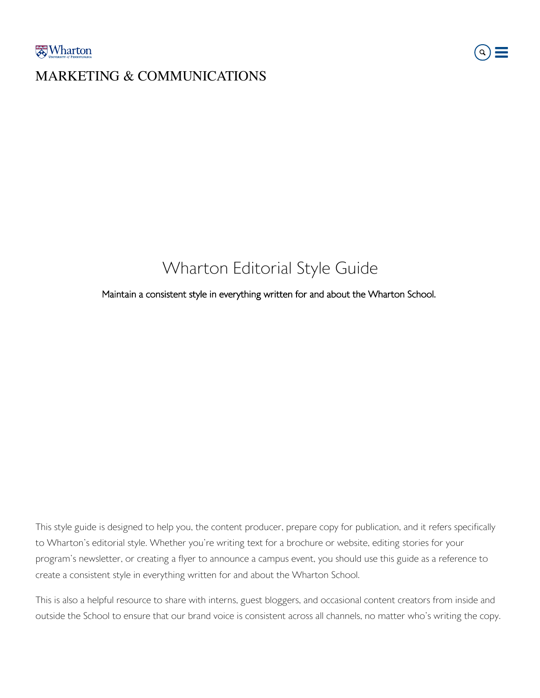### MARKETING & COMMUNICATIONS



### Wharton Editorial Style Guide

Maintain a consistent style in everything written for and about the Wharton School.

This style guide is designed to help you, the content producer, prepare copy for publication, and it refers specifically to Wharton's editorial style. Whether you're writing text for a brochure or website, editing stories for your program's newsletter, or creating a flyer to announce a campus event, you should use this guide as a reference to create a consistent style in everything written for and about the Wharton School.

This is also a helpful resource to share with interns, guest bloggers, and occasional content creators from inside and outside the School to ensure that our brand voice is consistent across all channels, no matter who's writing the copy.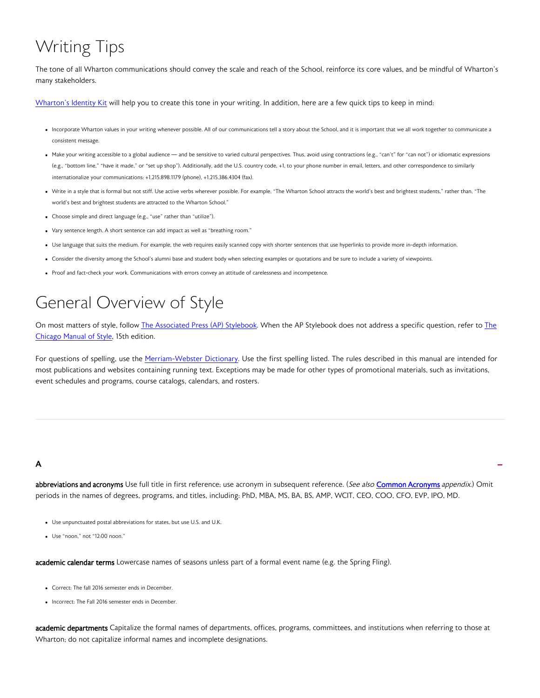# Writing Tips

The tone of all Wharton communications should convey the scale and reach of the School, reinforce its core values, and be mindful of Wharton's many stakeholders.

[Wharton's Identity Kit](https://app.frontify.com/d/EWFhKbT2J5mB/identity-kit) will help you to create this tone in your writing. In addition, here are a few quick tips to keep in mind:

- Incorporate Wharton values in your writing whenever possible. All of our communications tell a story about the School, and it is important that we all work together to communicate a consistent message.
- Make your writing accessible to a global audience and be sensitive to varied cultural perspectives. Thus, avoid using contractions (e.g., "can't" for "can not") or idiomatic expressions (e.g., "bottom line," "have it made," or "set up shop"). Additionally, add the U.S. country code, +1, to your phone number in email, letters, and other correspondence to similarly internationalize your communications: +1.215.898.1179 (phone), +1.215.386.4304 (fax).
- Write in a style that is formal but not stiff. Use active verbs wherever possible. For example, "The Wharton School attracts the world's best and brightest students," rather than, "The world's best and brightest students are attracted to the Wharton School."
- Choose simple and direct language (e.g., "use" rather than "utilize").
- Vary sentence length. A short sentence can add impact as well as "breathing room."
- Use language that suits the medium. For example, the web requires easily scanned copy with shorter sentences that use hyperlinks to provide more in-depth information.
- Consider the diversity among the School's alumni base and student body when selecting examples or quotations and be sure to include a variety of viewpoints.
- Proof and fact-check your work. Communications with errors convey an attitude of carelessness and incompetence.

### General Overview of Style

On most matters of style, follow [The Associated Press \(AP\) Stylebook.](https://www.apstylebook.com/) When the AP Stylebook does not address a specific question, refer to [The](http://www.chicagomanualofstyle.org/home.html) [Chicago Manual of Style, 1](http://www.chicagomanualofstyle.org/home.html)5th edition.

For questions of spelling, use the [Merriam-Webster Dictionary.](http://www.merriam-webster.com/) Use the first spelling listed. The rules described in this manual are intended for most publications and websites containing running text. Exceptions may be made for other types of promotional materials, such as invitations, event schedules and programs, course catalogs, calendars, and rosters.

### A

abbreviations and acronyms Use full title in first reference; use acronym in subsequent reference. (See also [Common Acronyms](#page-17-0) appendix.) Omit periods in the names of degrees, programs, and titles, including: PhD, MBA, MS, BA, BS, AMP, WCIT, CEO, COO, CFO, EVP, IPO, MD.

-

- Use unpunctuated postal abbreviations for states, but use U.S. and U.K.
- Use "noon," not "12:00 noon."

academic calendar terms Lowercase names of seasons unless part of a formal event name (e.g. the Spring Fling).

- Correct: The fall 2016 semester ends in December.
- Incorrect: The Fall 2016 semester ends in December.

academic departments Capitalize the formal names of departments, offices, programs, committees, and institutions when referring to those at Wharton; do not capitalize informal names and incomplete designations.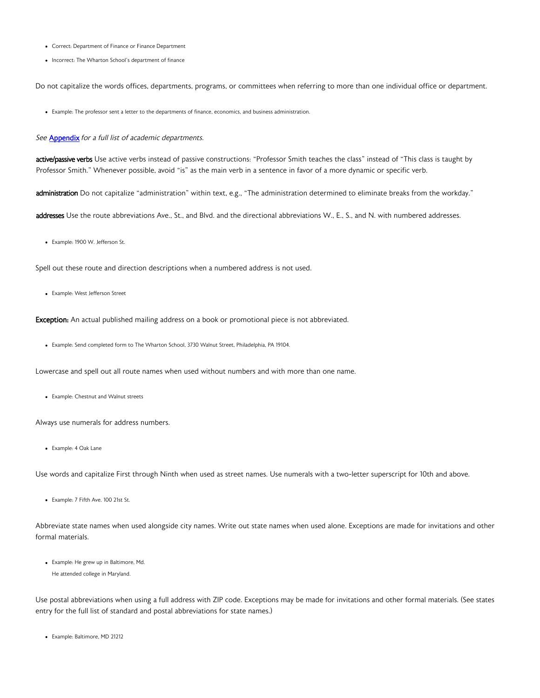- Correct: Department of Finance or Finance Department
- Incorrect: The Wharton School's department of finance

Do not capitalize the words offices, departments, programs, or committees when referring to more than one individual office or department.

Example: The professor sent a letter to the departments of finance, economics, and business administration.

#### See [Appendix](#page-17-0) for a full list of academic departments.

active/passive verbs Use active verbs instead of passive constructions: "Professor Smith teaches the class" instead of "This class is taught by Professor Smith." Whenever possible, avoid "is" as the main verb in a sentence in favor of a more dynamic or specific verb.

administration Do not capitalize "administration" within text, e.g., "The administration determined to eliminate breaks from the workday."

addresses Use the route abbreviations Ave., St., and Blvd. and the directional abbreviations W., E., S., and N. with numbered addresses.

Example: 1900 W. Jefferson St.

Spell out these route and direction descriptions when a numbered address is not used.

Example: West Jefferson Street

Exception: An actual published mailing address on a book or promotional piece is not abbreviated.

Example: Send completed form to The Wharton School, 3730 Walnut Street, Philadelphia, PA 19104.

Lowercase and spell out all route names when used without numbers and with more than one name.

Example: Chestnut and Walnut streets

Always use numerals for address numbers.

Example: 4 Oak Lane

Use words and capitalize First through Ninth when used as street names. Use numerals with a two-letter superscript for 10th and above.

Example: 7 Fifth Ave. 100 21st St.

Abbreviate state names when used alongside city names. Write out state names when used alone. Exceptions are made for invitations and other formal materials.

Example: He grew up in Baltimore, Md. He attended college in Maryland.

Use postal abbreviations when using a full address with ZIP code. Exceptions may be made for invitations and other formal materials. (See states entry for the full list of standard and postal abbreviations for state names.)

Example: Baltimore, MD 21212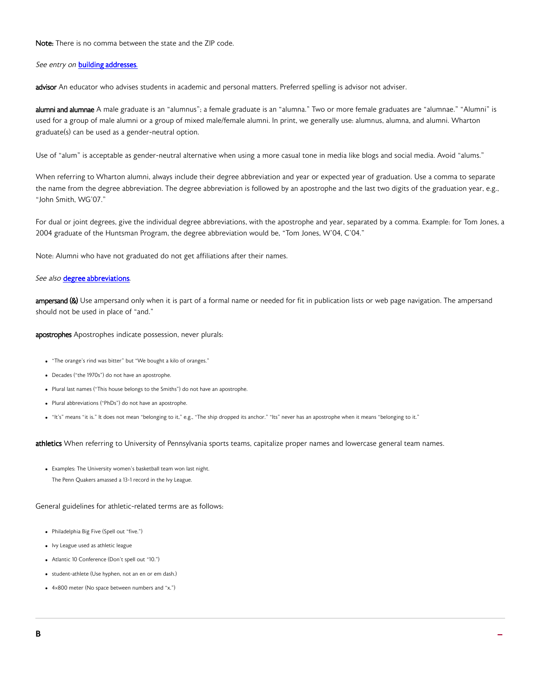Note: There is no comma between the state and the ZIP code.

### See entry on **[building addresses](#page-4-0)**.

advisor An educator who advises students in academic and personal matters. Preferred spelling is advisor not adviser.

**alumni and alumnae** A male graduate is an "alumnus"; a female graduate is an "alumna." Two or more female graduates are "alumnae." "Alumni" is used for a group of male alumni or a group of mixed male/female alumni. In print, we generally use: alumnus, alumna, and alumni. Wharton graduate(s) can be used as a gender-neutral option.

Use of "alum" is acceptable as gender-neutral alternative when using a more casual tone in media like blogs and social media. Avoid "alums."

When referring to Wharton alumni, always include their degree abbreviation and year or expected year of graduation. Use a comma to separate the name from the degree abbreviation. The degree abbreviation is followed by an apostrophe and the last two digits of the graduation year, e.g., "John Smith, WG'07."

For dual or joint degrees, give the individual degree abbreviations, with the apostrophe and year, separated by a comma. Example: for Tom Jones, a 2004 graduate of the Huntsman Program, the degree abbreviation would be, "Tom Jones, W'04, C'04."

Note: Alumni who have not graduated do not get affiliations after their names.

### See also [degree abbreviations](#page-7-0).

ampersand (&) Use ampersand only when it is part of a formal name or needed for fit in publication lists or web page navigation. The ampersand should not be used in place of "and."

apostrophes Apostrophes indicate possession, never plurals:

- "The orange's rind was bitter" but "We bought a kilo of oranges."
- Decades ("the 1970s") do not have an apostrophe.
- Plural last names ("This house belongs to the Smiths") do not have an apostrophe.
- Plural abbreviations ("PhDs") do not have an apostrophe.
- "It's" means "it is." It does not mean "belonging to it," e.g., "The ship dropped its anchor." "Its" never has an apostrophe when it means "belonging to it."

athletics When referring to University of Pennsylvania sports teams, capitalize proper names and lowercase general team names.

Examples: The University women's basketball team won last night. The Penn Quakers amassed a 13-1 record in the Ivy League.

General guidelines for athletic-related terms are as follows:

- Philadelphia Big Five (Spell out "five.")
- Ivy League used as athletic league
- Atlantic 10 Conference (Don't spell out "10.")
- student-athlete (Use hyphen, not an en or em dash.)
- 4×800 meter (No space between numbers and "x.")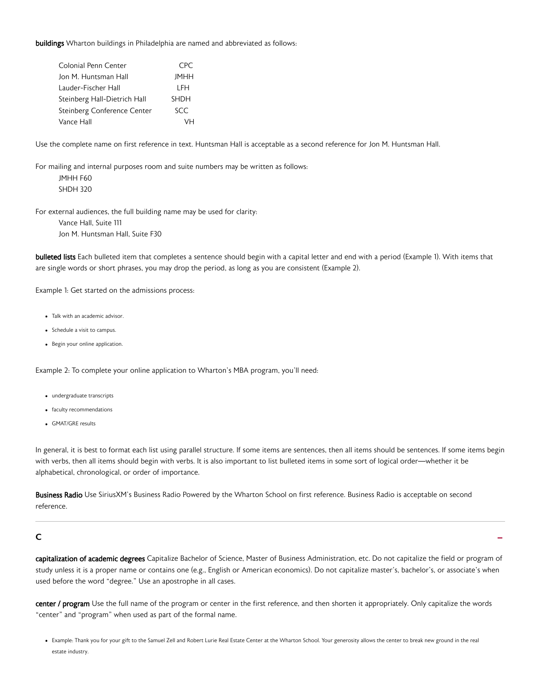<span id="page-4-0"></span>buildings Wharton buildings in Philadelphia are named and abbreviated as follows:

| Colonial Penn Center         | CPC.        |
|------------------------------|-------------|
| Jon M. Huntsman Hall         | <b>JMHH</b> |
| Lauder-Fischer Hall          | I FH        |
| Steinberg Hall-Dietrich Hall | <b>SHDH</b> |
| Steinberg Conference Center  | SCC         |
| Vance Hall                   |             |

Use the complete name on first reference in text. Huntsman Hall is acceptable as a second reference for Jon M. Huntsman Hall.

For mailing and internal purposes room and suite numbers may be written as follows: JMHH F60 SHDH 320

For external audiences, the full building name may be used for clarity: Vance Hall, Suite 111 Jon M. Huntsman Hall, Suite F30

bulleted lists Each bulleted item that completes a sentence should begin with a capital letter and end with a period (Example 1). With items that are single words or short phrases, you may drop the period, as long as you are consistent (Example 2).

Example 1: Get started on the admissions process:

- Talk with an academic advisor.
- Schedule a visit to campus.
- Begin your online application.

Example 2: To complete your online application to Wharton's MBA program, you'll need:

- undergraduate transcripts
- faculty recommendations
- GMAT/GRE results

In general, it is best to format each list using parallel structure. If some items are sentences, then all items should be sentences. If some items begin with verbs, then all items should begin with verbs. It is also important to list bulleted items in some sort of logical order—whether it be alphabetical, chronological, or order of importance.

Business Radio Use SiriusXM's Business Radio Powered by the Wharton School on first reference. Business Radio is acceptable on second reference.

# $\mathsf{C}$

capitalization of academic degrees Capitalize Bachelor of Science, Master of Business Administration, etc. Do not capitalize the field or program of study unless it is a proper name or contains one (e.g., English or American economics). Do not capitalize master's, bachelor's, or associate's when used before the word "degree." Use an apostrophe in all cases.

center / program Use the full name of the program or center in the first reference, and then shorten it appropriately. Only capitalize the words "center" and "program" when used as part of the formal name.

<sup>•</sup> Example: Thank you for your gift to the Samuel Zell and Robert Lurie Real Estate Center at the Wharton School. Your generosity allows the center to break new ground in the real estate industry.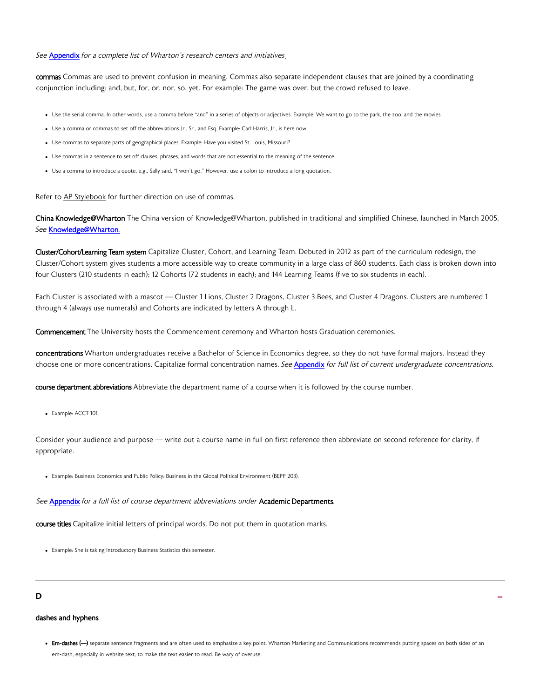<span id="page-5-0"></span>See **[Appendix](#page-19-0)** for a complete list of Wharton's research centers and initiatives

commas Commas are used to prevent confusion in meaning. Commas also separate independent clauses that are joined by a coordinating conjunction including: and, but, for, or, nor, so, yet. For example: The game was over, but the crowd refused to leave.

- Use the serial comma. In other words, use a comma before "and" in a series of objects or adjectives. Example: We want to go to the park, the zoo, and the movies.
- Use a comma or commas to set off the abbreviations Jr., Sr., and Esq. Example: Carl Harris, Jr., is here now.
- Use commas to separate parts of geographical places. Example: Have you visited St. Louis, Missouri?
- Use commas in a sentence to set off clauses, phrases, and words that are not essential to the meaning of the sentence.
- Use a comma to introduce a quote, e.g., Sally said, "I won't go." However, use a colon to introduce a long quotation.

Refer to [AP Stylebook](https://www.apstylebook.com/) for further direction on use of commas.

China Knowledge@Wharton The China version of Knowledge@Wharton, published in traditional and simplified Chinese, launched in March 2005. See [Knowledge@Wharton](#page-10-0).

Cluster/Cohort/Learning Team system Capitalize Cluster, Cohort, and Learning Team. Debuted in 2012 as part of the curriculum redesign, the Cluster/Cohort system gives students a more accessible way to create community in a large class of 860 students. Each class is broken down into four Clusters (210 students in each); 12 Cohorts (72 students in each); and 144 Learning Teams (five to six students in each).

Each Cluster is associated with a mascot — Cluster 1 Lions, Cluster 2 Dragons, Cluster 3 Bees, and Cluster 4 Dragons. Clusters are numbered 1 through 4 (always use numerals) and Cohorts are indicated by letters A through L.

Commencement The University hosts the Commencement ceremony and Wharton hosts Graduation ceremonies.

concentrations Wharton undergraduates receive a Bachelor of Science in Economics degree, so they do not have formal majors. Instead they choose one or more concentrations. Capitalize formal concentration names. See [Appendix](#page-21-0) for full list of current undergraduate concentrations.

course department abbreviations Abbreviate the department name of a course when it is followed by the course number.

Example: ACCT 101.

Consider your audience and purpose — write out a course name in full on first reference then abbreviate on second reference for clarity, if appropriate.

Example: Business Economics and Public Policy: Business in the Global Political Environment (BEPP 203).

See [Appendix](#page-17-0) for a full list of course department abbreviations under Academic Departments.

course titles Capitalize initial letters of principal words. Do not put them in quotation marks.

Example: She is taking Introductory Business Statistics this semester.

# $\overline{a}$

#### dashes and hyphens

• Em-dashes (-) separate sentence fragments and are often used to emphasize a key point. Wharton Marketing and Communications recommends putting spaces on both sides of an em-dash, especially in website text, to make the text easier to read. Be wary of overuse.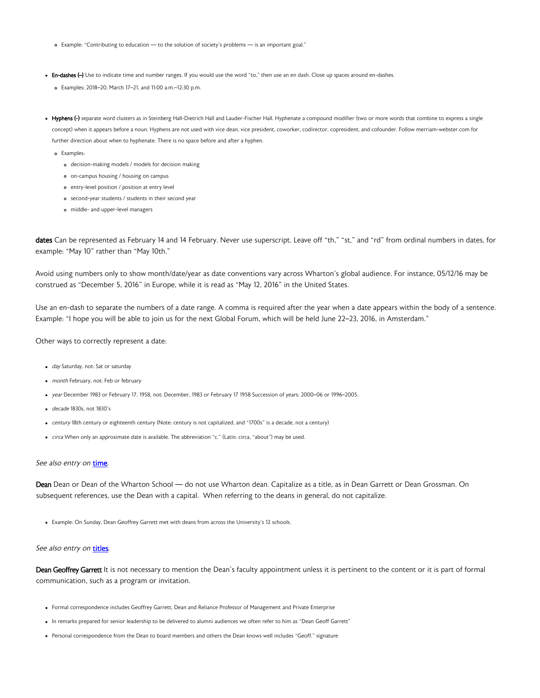- <span id="page-6-0"></span>Example: "Contributing to education — to the solution of society's problems — is an important goal."
- En-dashes (-) Use to indicate time and number ranges. If you would use the word "to," then use an en dash. Close up spaces around en-dashes.
	- Examples: 2018–20, March 17–21, and 11:00 a.m.–12:30 p.m.
- Hyphens (-) separate word clusters as in Steinberg Hall-Dietrich Hall and Lauder-Fischer Hall. Hyphenate a compound modifier (two or more words that combine to express a single concept) when it appears before a noun. Hyphens are not used with vice dean, vice president, coworker, codirector, copresident, and cofounder. Follow merriam-webster.com for further direction about when to hyphenate. There is no space before and after a hyphen.
	- o Examples:
		- decision-making models / models for decision making
		- o on-campus housing / housing on campus
		- entry-level position / position at entry level
		- second-year students / students in their second year
		- middle- and upper-level managers

dates Can be represented as February 14 and 14 February. Never use superscript. Leave off "th," "st," and "rd" from ordinal numbers in dates, for example: "May 10" rather than "May 10th."

Avoid using numbers only to show month/date/year as date conventions vary across Wharton's global audience. For instance, 05/12/16 may be construed as "December 5, 2016" in Europe, while it is read as "May 12, 2016" in the United States.

Use an en-dash to separate the numbers of a date range. A comma is required after the year when a date appears within the body of a sentence. Example: "I hope you will be able to join us for the next Global Forum, which will be held June 22–23, 2016, in Amsterdam."

Other ways to correctly represent a date:

- day Saturday, not: Sat or saturday
- month February, not: Feb or february
- year December 1983 or February 17, 1958, not: December, 1983 or February 17 1958 Succession of years: 2000–06 or 1996–2005.
- decade 1830s, not 1830's
- century 18th century or eighteenth century (Note: century is not capitalized, and "1700s" is a decade, not a century)
- circa When only an approximate date is available. The abbreviation "c." (Latin: circa, "about") may be used.

### See also entry on [time](#page-14-0).

Dean Dean or Dean of the Wharton School — do not use Wharton dean. Capitalize as a title, as in Dean Garrett or Dean Grossman. On subsequent references, use the Dean with a capital. When referring to the deans in general, do not capitalize.

Example: On Sunday, Dean Geoffrey Garrett met with deans from across the University's 12 schools.

#### See also entry on [titles](#page-15-0).

Dean Geoffrey Garrett It is not necessary to mention the Dean's faculty appointment unless it is pertinent to the content or it is part of formal communication, such as a program or invitation.

- Formal correspondence includes Geoffrey Garrett, Dean and Reliance Professor of Management and Private Enterprise
- In remarks prepared for senior leadership to be delivered to alumni audiences we often refer to him as "Dean Geoff Garrett"
- Personal correspondence from the Dean to board members and others the Dean knows well includes "Geoff." signature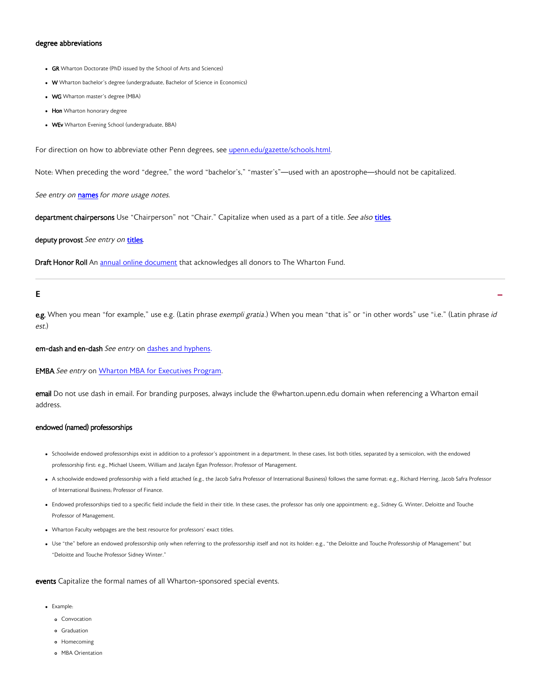#### <span id="page-7-0"></span>degree abbreviations

- GR Wharton Doctorate (PhD issued by the School of Arts and Sciences)
- W Wharton bachelor's degree (undergraduate, Bachelor of Science in Economics)  $\bullet$
- WG Wharton master's degree (MBA)
- Hon Wharton honorary degree
- WEv Wharton Evening School (undergraduate, BBA)

For direction on how to abbreviate other Penn degrees, see [upenn.edu/gazette/schools.html.](upenn.edu/gazette/schools.html)

Note: When preceding the word "degree," the word "bachelor's," "master's"—used with an apostrophe—should not be capitalized.

See entry on [names](#page-11-0) for more usage notes.

department chairpersons Use "Chairperson" not "Chair." Capitalize when used as a part of a title. See also [titles](#page-15-0).

deputy provost See entry on [titles](#page-15-0).

Draft Honor Roll An [annual online document](http://viewer.zmags.com/publication/154b03a6#/154b03a6/1) that acknowledges all donors to The Wharton Fund.

# E - Andre Handels - Andre Handels - Andre Handels - Andre Handels - Andre Handels - Andre Handels - Andre Han<br>En 1990 - Andre Handels - Andre Handels - Andre Handels - Andre Handels - Andre Handels - Andre Handels - Andr

e.g. When you mean "for example," use e.g. (Latin phrase exempli gratia.) When you mean "that is" or "in other words" use "i.e." (Latin phrase id est.)

#### em-dash and en-dash See entry on [dashes and hyphens](#page-6-0).

**EMBA** See entry o[n Wharton MBA for Executives Program.](#page-16-0)

email Do not use dash in email. For branding purposes, always include the @wharton.upenn.edu domain when referencing a Wharton email address.

### endowed (named) professorships

- Schoolwide endowed professorships exist in addition to a professor's appointment in a department. In these cases, list both titles, separated by a semicolon, with the endowed professorship first: e.g., Michael Useem, William and Jacalyn Egan Professor; Professor of Management.
- A schoolwide endowed professorship with a field attached (e.g., the Jacob Safra Professor of International Business) follows the same format: e.g., Richard Herring, Jacob Safra Professor of International Business; Professor of Finance.
- Endowed professorships tied to a specific field include the field in their title. In these cases, the professor has only one appointment: e.g., Sidney G. Winter, Deloitte and Touche Professor of Management.
- Wharton Faculty webpages are the best resource for professors' exact titles.
- Use "the" before an endowed professorship only when referring to the professorship itself and not its holder: e.g., "the Deloitte and Touche Professorship of Management" but "Deloitte and Touche Professor Sidney Winter."

events Capitalize the formal names of all Wharton-sponsored special events.

- Example:
	- Convocation
	- Graduation
	- o Homecoming
	- MBA Orientation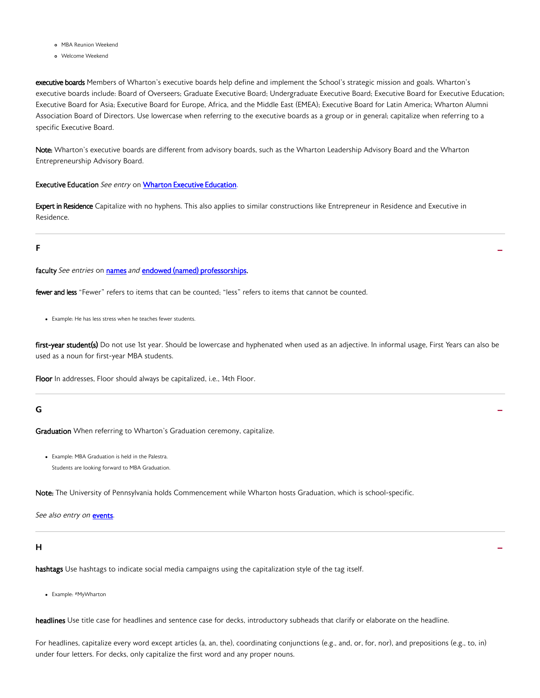- MBA Reunion Weekend
- Welcome Weekend

executive boards Members of Wharton's executive boards help define and implement the School's strategic mission and goals. Wharton's executive boards include: Board of Overseers; Graduate Executive Board; Undergraduate Executive Board; Executive Board for Executive Education; Executive Board for Asia; Executive Board for Europe, Africa, and the Middle East (EMEA); Executive Board for Latin America; Wharton Alumni Association Board of Directors. Use lowercase when referring to the executive boards as a group or in general; capitalize when referring to a specific Executive Board.

Note: Wharton's executive boards are different from advisory boards, such as the Wharton Leadership Advisory Board and the Wharton Entrepreneurship Advisory Board.

### Executive Education See entry on [Wharton Executive Education](#page-15-0).

Expert in Residence Capitalize with no hyphens. This also applies to similar constructions like Entrepreneur in Residence and Executive in Residence.

F

faculty See entries o[n names](#page-11-0) and [endowed \(named\) professorships.](#page-7-0)

fewer and less "Fewer" refers to items that can be counted; "less" refers to items that cannot be counted.

Example: He has less stress when he teaches fewer students.

first-year student(s) Do not use 1st year. Should be lowercase and hyphenated when used as an adjective. In informal usage, First Years can also be used as a noun for first-year MBA students.

-

Floor In addresses, Floor should always be capitalized, i.e., 14th Floor.

# G - Andre Hermann - Andre Hermann - Andre Hermann - Andre Hermann - Andre Hermann - Andre Hermann - Andre Herm<br>Geografia

Graduation When referring to Wharton's Graduation ceremony, capitalize.

Example: MBA Graduation is held in the Palestra. Students are looking forward to MBA Graduation.

Note: The University of Pennsylvania holds Commencement while Wharton hosts Graduation, which is school-specific.

See also entry on **events**.

# $\mathbf{H} = \frac{1}{2} \left( \mathbf{H} \mathbf{H} + \mathbf{H} \mathbf{H} \mathbf{H} \mathbf{H} + \mathbf{H} \mathbf{H} \mathbf{H} \mathbf{H} \mathbf{H} \mathbf{H} \mathbf{H} \mathbf{H} \mathbf{H} \mathbf{H} \mathbf{H} \mathbf{H} \mathbf{H} \mathbf{H} \mathbf{H} \mathbf{H} \mathbf{H} \mathbf{H} \mathbf{H} \mathbf{H} \mathbf{H} \mathbf{H} \mathbf{H} \mathbf{H} \mathbf{H} \mathbf{H} \mathbf{H} \mathbf$

hashtags Use hashtags to indicate social media campaigns using the capitalization style of the tag itself.

Example: #MyWharton

headlines Use title case for headlines and sentence case for decks, introductory subheads that clarify or elaborate on the headline.

For headlines, capitalize every word except articles (a, an, the), coordinating conjunctions (e.g., and, or, for, nor), and prepositions (e.g., to, in) under four letters. For decks, only capitalize the first word and any proper nouns.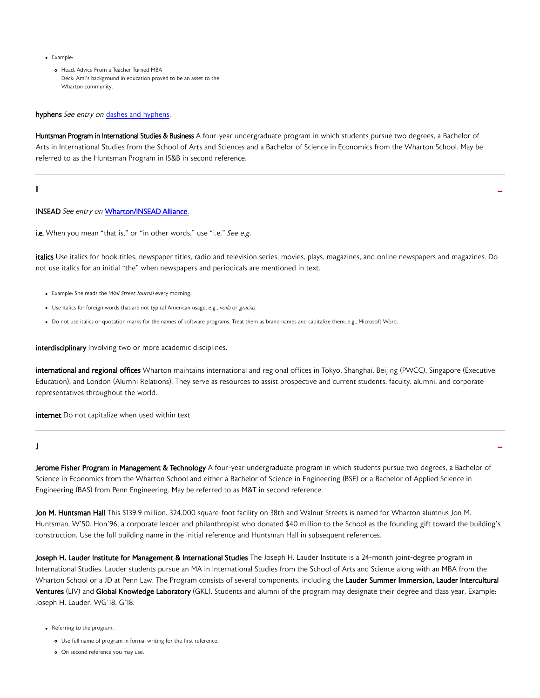- <span id="page-9-0"></span>Example:
	- Head: Advice From a Teacher Turned MBA Deck: Ami's background in education proved to be an asset to the Wharton community.

#### hyphens See entry on [dashes and hyphens](#page-6-0).

Huntsman Program in International Studies & Business A four-year undergraduate program in which students pursue two degrees, a Bachelor of Arts in International Studies from the School of Arts and Sciences and a Bachelor of Science in Economics from the Wharton School. May be referred to as the Huntsman Program in IS&B in second reference.

I

#### INSEAD See entry on [Wharton/INSEAD Alliance.](#page-16-0)

i.e. When you mean "that is," or "in other words," use "i.e." See e.g.

italics Use italics for book titles, newspaper titles, radio and television series, movies, plays, magazines, and online newspapers and magazines. Do not use italics for an initial "the" when newspapers and periodicals are mentioned in text.

-

- Example: She reads the Wall Street Journal every morning.
- Use italics for foreign words that are not typical American usage, e.g., voilà or gracias.
- Do not use italics or quotation marks for the names of software programs. Treat them as brand names and capitalize them, e.g., Microsoft Word.

interdisciplinary Involving two or more academic disciplines.

international and regional offices Wharton maintains international and regional offices in Tokyo, Shanghai, Beijing (PWCC), Singapore (Executive Education), and London (Alumni Relations). They serve as resources to assist prospective and current students, faculty, alumni, and corporate representatives throughout the world.

internet Do not capitalize when used within text.

# $J$  -contracts the contract of the contracts of the contracts of the contracts of the contracts of the contracts of the contracts of the contracts of the contracts of the contracts of the contracts of the contracts of the

Jerome Fisher Program in Management & Technology A four-year undergraduate program in which students pursue two degrees, a Bachelor of Science in Economics from the Wharton School and either a Bachelor of Science in Engineering (BSE) or a Bachelor of Applied Science in Engineering (BAS) from Penn Engineering. May be referred to as M&T in second reference.

Jon M. Huntsman Hall This \$139.9 million, 324,000 square-foot facility on 38th and Walnut Streets is named for Wharton alumnus Jon M. Huntsman, W'50, Hon'96, a corporate leader and philanthropist who donated \$40 million to the School as the founding gift toward the building's construction. Use the full building name in the initial reference and Huntsman Hall in subsequent references.

Joseph H. Lauder Institute for Management & International Studies The Joseph H. Lauder Institute is a 24-month joint-degree program in International Studies. Lauder students pursue an MA in International Studies from the School of Arts and Science along with an MBA from the Wharton School or a JD at Penn Law. The Program consists of several components, including the Lauder Summer Immersion, Lauder Intercultural Ventures (LIV) and Global Knowledge Laboratory (GKL). Students and alumni of the program may designate their degree and class year. Example: Joseph H. Lauder, WG'18, G'18.

Referring to the program:

- Use full name of program in formal writing for the first reference.
- On second reference you may use: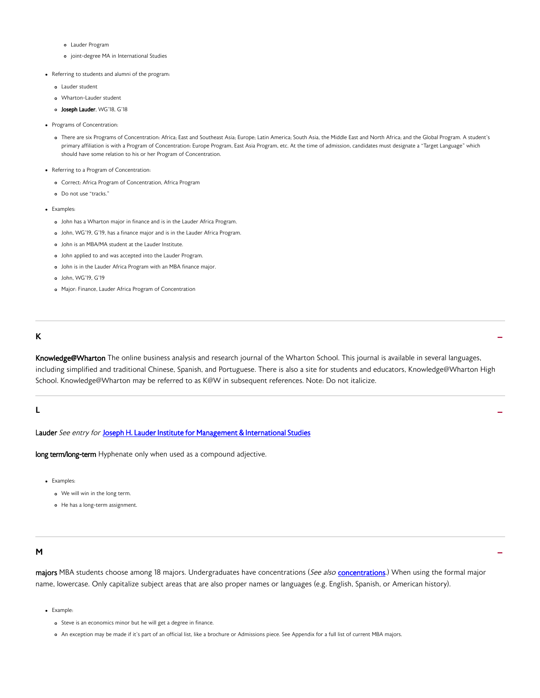- <span id="page-10-0"></span>Lauder Program
- joint-degree MA in International Studies
- Referring to students and alumni of the program:
	- Lauder student
	- Wharton-Lauder student
	- o Joseph Lauder, WG'18, G'18
- Programs of Concentration:
	- There are six Programs of Concentration: Africa; East and Southeast Asia; Europe; Latin America; South Asia, the Middle East and North Africa; and the Global Program. A student's primary affiliation is with a Program of Concentration: Europe Program, East Asia Program, etc. At the time of admission, candidates must designate a "Target Language" which should have some relation to his or her Program of Concentration.
- Referring to a Program of Concentration:
	- Correct: Africa Program of Concentration, Africa Program
	- Do not use "tracks."
- Examples:
	- John has a Wharton major in finance and is in the Lauder Africa Program.
	- John, WG'19, G'19, has a finance major and is in the Lauder Africa Program.
	- John is an MBA/MA student at the Lauder Institute.
	- John applied to and was accepted into the Lauder Program.
	- John is in the Lauder Africa Program with an MBA finance major.
	- John, WG'19, G'19
	- Major: Finance, Lauder Africa Program of Concentration

# $\mathbf{K}$

Knowledge@Wharton The online business analysis and research journal of the Wharton School. This journal is available in several languages, including simplified and traditional Chinese, Spanish, and Portuguese. There is also a site for students and educators, Knowledge@Wharton High School. Knowledge@Wharton may be referred to as K@W in subsequent references. Note: Do not italicize.

-

-

### L

Lauder See entry for Joseph H. Lauder Institute for Management & International Studies

long term/long-term Hyphenate only when used as a compound adjective.

- Examples:
	- We will win in the long term.
	- He has a long-term assignment.

### M

majors MBA students choose among 18 majors. Undergraduates have concentrations (See also [concentrations.](#page-5-0)) When using the formal major name, lowercase. Only capitalize subject areas that are also proper names or languages (e.g. English, Spanish, or American history).

- Example:
	- o Steve is an economics minor but he will get a degree in finance.
	- An exception may be made if it's part of an official list, like a brochure or Admissions piece. See Appendix for a full list of current MBA majors.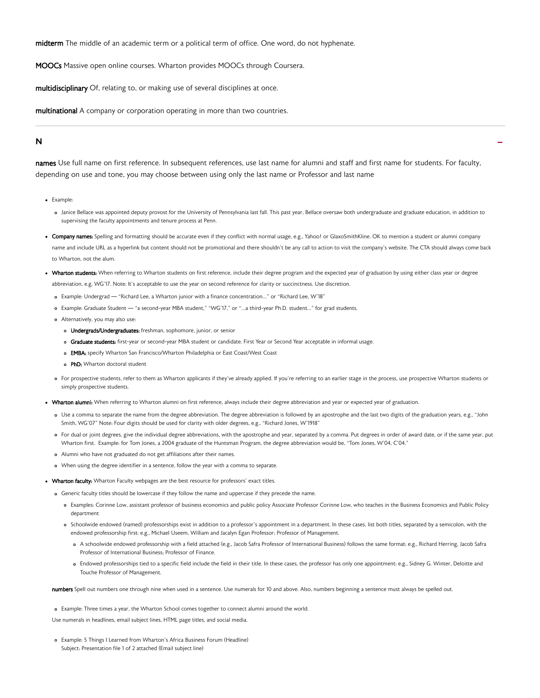<span id="page-11-0"></span>midterm The middle of an academic term or a political term of office. One word, do not hyphenate.

MOOCs Massive open online courses. Wharton provides MOOCs through Coursera.

multidisciplinary Of, relating to, or making use of several disciplines at once.

multinational A company or corporation operating in more than two countries.

# $N =$

names Use full name on first reference. In subsequent references, use last name for alumni and staff and first name for students. For faculty, depending on use and tone, you may choose between using only the last name or Professor and last name

- Example:
	- Janice Bellace was appointed deputy provost for the University of Pennsylvania last fall. This past year, Bellace oversaw both undergraduate and graduate education, in addition to supervising the faculty appointments and tenure process at Penn.
- . Company names: Spelling and formatting should be accurate even if they conflict with normal usage, e.g., Yahoo! or GlaxoSmithKline. OK to mention a student or alumni company name and include URL as a hyperlink but content should not be promotional and there shouldn't be any call to action to visit the company's website. The CTA should always come back to Wharton, not the alum.
- Wharton students: When referring to Wharton students on first reference, include their degree program and the expected year of graduation by using either class year or degree abbreviation, e.g, WG'17. Note: It's acceptable to use the year on second reference for clarity or succinctness. Use discretion.
	- Example: Undergrad "Richard Lee, a Wharton junior with a finance concentration…" or "Richard Lee, W'18"
	- Example: Graduate Student "a second-year MBA student," "WG'17," or "…a third-year Ph.D. student…" for grad students.
	- Alternatively, you may also use:
		- o Undergrads/Undergraduates: freshman, sophomore, junior, or senior
		- o Graduate students: first-year or second-year MBA student or candidate. First Year or Second Year acceptable in informal usage.
		- o **EMBA:** specify Wharton San Francisco/Wharton Philadelphia or East Coast/West Coast
		- o PhD: Wharton doctoral student
	- For prospective students, refer to them as Wharton applicants if they've already applied. If you're referring to an earlier stage in the process, use prospective Wharton students or simply prospective students.
- Wharton alumni: When referring to Wharton alumni on first reference, always include their degree abbreviation and year or expected year of graduation.
	- Use a comma to separate the name from the degree abbreviation. The degree abbreviation is followed by an apostrophe and the last two digits of the graduation years, e.g., "John Smith, WG'07" Note: Four digits should be used for clarity with older degrees, e.g., "Richard Jones, W'1918"
	- o For dual or joint degrees, give the individual degree abbreviations, with the apostrophe and year, separated by a comma. Put degrees in order of award date, or if the same year, put Wharton first. Example: for Tom Jones, a 2004 graduate of the Huntsman Program, the degree abbreviation would be, "Tom Jones, W'04, C'04."
	- Alumni who have not graduated do not get affiliations after their names.
	- When using the degree identifier in a sentence, follow the year with a comma to separate.
- Wharton faculty: Wharton Faculty webpages are the best resource for professors' exact titles.
	- Generic faculty titles should be lowercase if they follow the name and uppercase if they precede the name.
		- Examples: Corinne Low, assistant professor of business economics and public policy Associate Professor Corinne Low, who teaches in the Business Economics and Public Policy department
		- Schoolwide endowed (named) professorships exist in addition to a professor's appointment in a department. In these cases, list both titles, separated by a semicolon, with the endowed professorship first: e.g., Michael Useem, William and Jacalyn Egan Professor; Professor of Management.
			- A schoolwide endowed professorship with a field attached (e.g., Jacob Safra Professor of International Business) follows the same format: e.g., Richard Herring, Jacob Safra Professor of International Business; Professor of Finance.
			- Endowed professorships tied to a specific field include the field in their title. In these cases, the professor has only one appointment: e.g., Sidney G. Winter, Deloitte and Touche Professor of Management.

numbers Spell out numbers one through nine when used in a sentence. Use numerals for 10 and above. Also, numbers beginning a sentence must always be spelled out.

Example: Three times a year, the Wharton School comes together to connect alumni around the world.

Use numerals in headlines, email subject lines, HTML page titles, and social media.

Example: 5 Things I Learned from Wharton's Africa Business Forum (Headline) Subject: Presentation file 1 of 2 attached (Email subject line)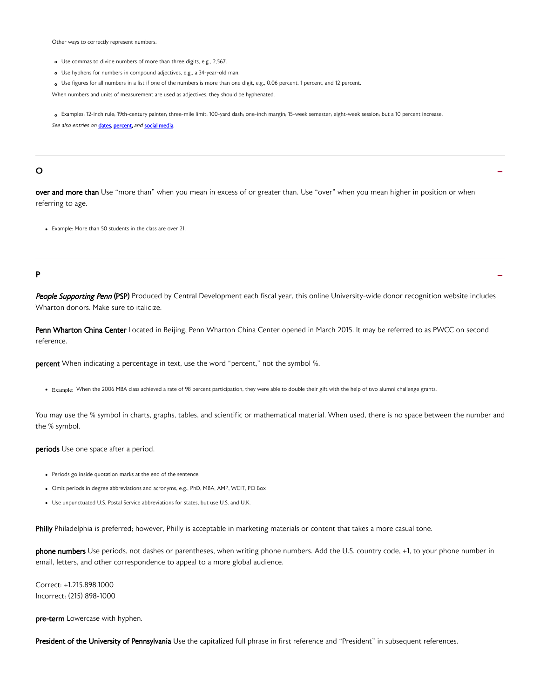Other ways to correctly represent numbers:

- Use commas to divide numbers of more than three digits, e.g., 2,567.
- Use hyphens for numbers in compound adjectives, e.g., a 34-year-old man.
- Use figures for all numbers in a list if one of the numbers is more than one digit, e.g., 0.06 percent, 1 percent, and 12 percent.

When numbers and units of measurement are used as adjectives, they should be hyphenated.

Examples: 12-inch rule; 19th-century painter; three-mile limit; 100-yard dash; one-inch margin; 15-week semester; eight-week session; but a 10 percent increase. See also entries on [dates,](#page-6-0) percent, and [social media.](#page-14-0)

# $\overline{\phantom{a}}$  -  $\overline{\phantom{a}}$  -  $\overline{\phantom{a}}$  -  $\overline{\phantom{a}}$  -  $\overline{\phantom{a}}$  -  $\overline{\phantom{a}}$  -  $\overline{\phantom{a}}$  -  $\overline{\phantom{a}}$  -  $\overline{\phantom{a}}$  -  $\overline{\phantom{a}}$  -  $\overline{\phantom{a}}$  -  $\overline{\phantom{a}}$  -  $\overline{\phantom{a}}$  -  $\overline{\phantom{a}}$  -  $\overline{\phantom{a}}$  -  $\overline{\phantom{a}}$

over and more than Use "more than" when you mean in excess of or greater than. Use "over" when you mean higher in position or when referring to age.

Example: More than 50 students in the class are over 21.

# P - Andre Brown and the set of the set of the set of the set of the set of the set of the set of the set of th<br>P - Andre Brown and the set of the set of the set of the set of the set of the set of the set of the set of th

People Supporting Penn (PSP) Produced by Central Development each fiscal year, this online University-wide donor recognition website includes Wharton donors. Make sure to italicize.

Penn Wharton China Center Located in Beijing, Penn Wharton China Center opened in March 2015. It may be referred to as PWCC on second reference.

percent When indicating a percentage in text, use the word "percent," not the symbol %.

• Example: When the 2006 MBA class achieved a rate of 98 percent participation, they were able to double their gift with the help of two alumni challenge grants.

You may use the % symbol in charts, graphs, tables, and scientific or mathematical material. When used, there is no space between the number and the % symbol.

#### periods Use one space after a period.

- Periods go inside quotation marks at the end of the sentence.
- Omit periods in degree abbreviations and acronyms, e.g., PhD, MBA, AMP, WCIT, PO Box
- Use unpunctuated U.S. Postal Service abbreviations for states, but use U.S. and U.K.

Philly Philadelphia is preferred; however, Philly is acceptable in marketing materials or content that takes a more casual tone.

phone numbers Use periods, not dashes or parentheses, when writing phone numbers. Add the U.S. country code, +1, to your phone number in email, letters, and other correspondence to appeal to a more global audience.

Correct: +1.215.898.1000 Incorrect: (215) 898-1000

pre-term Lowercase with hyphen.

President of the University of Pennsylvania Use the capitalized full phrase in first reference and "President" in subsequent references.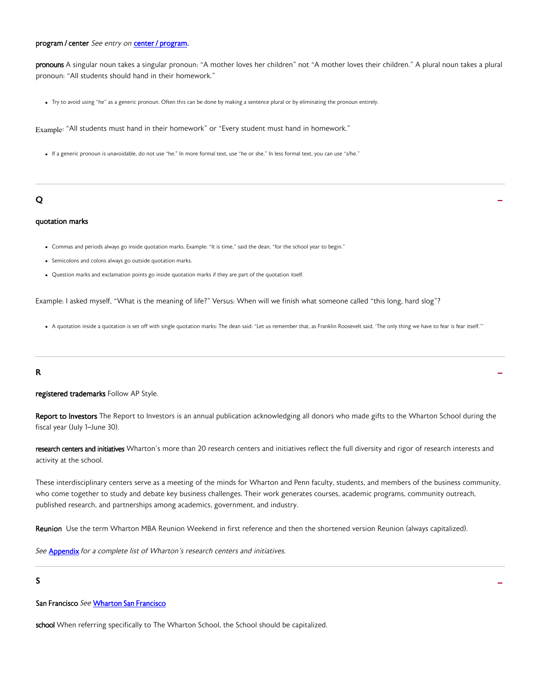### program / center See entry on [center / program.](#page-5-0)

pronouns A singular noun takes a singular pronoun: "A mother loves her children" not "A mother loves their children." A plural noun takes a plural pronoun: "All students should hand in their homework."

Try to avoid using "he" as a generic pronoun. Often this can be done by making a sentence plural or by eliminating the pronoun entirely.

Example: "All students must hand in their homework" or "Every student must hand in homework."

If a generic pronoun is unavoidable, do not use "he." In more formal text, use "he or she." In less formal text, you can use "s/he."

# $\overline{Q}$  -contracts the contracts of  $\overline{Q}$  -contracts of  $\overline{Q}$  -contracts of  $\overline{Q}$  -contracts of  $\overline{Q}$

#### quotation marks

- Commas and periods always go inside quotation marks. Example: "It is time," said the dean, "for the school year to begin."
- Semicolons and colons always go outside quotation marks.
- Question marks and exclamation points go inside quotation marks if they are part of the quotation itself.

Example: I asked myself, "What is the meaning of life?" Versus: When will we finish what someone called "this long, hard slog"?

A quotation inside a quotation is set off with single quotation marks: The dean said: "Let us remember that, as Franklin Roosevelt said, 'The only thing we have to fear is fear itself.'"

# $R$  -  $\overline{a}$  -  $\overline{b}$  -  $\overline{a}$  -  $\overline{a}$  -  $\overline{a}$  -  $\overline{a}$  -  $\overline{a}$  -  $\overline{a}$  -  $\overline{a}$  -  $\overline{a}$  -  $\overline{a}$  -  $\overline{a}$  -  $\overline{a}$  -  $\overline{a}$  -  $\overline{a}$  -  $\overline{a}$  -  $\overline{a}$  -  $\overline{a}$  -  $\overline{a}$  -  $\overline{a$

#### registered trademarks Follow AP Style.

Report to Investors The Report to Investors is an annual publication acknowledging all donors who made gifts to the Wharton School during the fiscal year (July 1–June 30).

research centers and initiatives Wharton's more than 20 research centers and initiatives reflect the full diversity and rigor of research interests and activity at the school.

These interdisciplinary centers serve as a meeting of the minds for Wharton and Penn faculty, students, and members of the business community, who come together to study and debate key business challenges. Their work generates courses, academic programs, community outreach, published research, and partnerships among academics, government, and industry.

-

Reunion Use the term Wharton MBA Reunion Weekend in first reference and then the shortened version Reunion (always capitalized).

See **[Appendix](#page-19-0)** for a complete list of Wharton's research centers and initiatives.

### S

#### San Francisco See [Wharton San Francisco](#page-16-0)

school When referring specifically to The Wharton School, the School should be capitalized.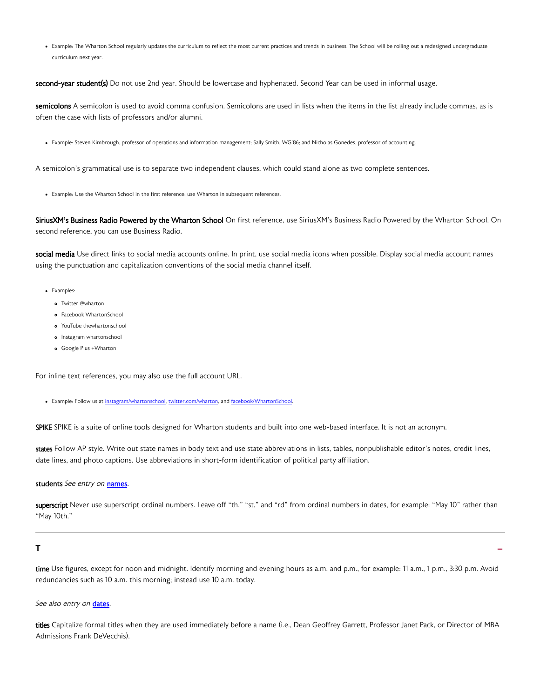<span id="page-14-0"></span>• Example: The Wharton School regularly updates the curriculum to reflect the most current practices and trends in business. The School will be rolling out a redesigned undergraduate curriculum next year.

second-year student(s) Do not use 2nd year. Should be lowercase and hyphenated. Second Year can be used in informal usage.

semicolons A semicolon is used to avoid comma confusion. Semicolons are used in lists when the items in the list already include commas, as is often the case with lists of professors and/or alumni.

Example: Steven Kimbrough, professor of operations and information management; Sally Smith, WG'86; and Nicholas Gonedes, professor of accounting.

A semicolon's grammatical use is to separate two independent clauses, which could stand alone as two complete sentences.

Example: Use the Wharton School in the first reference; use Wharton in subsequent references.

SiriusXM's Business Radio Powered by the Wharton School On first reference, use SiriusXM's Business Radio Powered by the Wharton School. On second reference, you can use Business Radio.

social media Use direct links to social media accounts online. In print, use social media icons when possible. Display social media account names using the punctuation and capitalization conventions of the social media channel itself.

- Examples:
	- o Twitter @wharton
	- Facebook WhartonSchool
	- YouTube thewhartonschool
	- o Instagram whartonschool
	- Google Plus +Wharton

For inline text references, you may also use the full account URL.

• Example: Follow us at [instagram/whartonschool,](instagram.whartonschool) [twitter.com/wharton,](twitter.com/wharton) and [facebook/WhartonSchool](facebook.com/WhartonSchool).

SPIKE SPIKE is a suite of online tools designed for Wharton students and built into one web-based interface. It is not an acronym.

states Follow AP style. Write out state names in body text and use state abbreviations in lists, tables, nonpublishable editor's notes, credit lines, date lines, and photo captions. Use abbreviations in short-form identification of political party affiliation.

#### students See entry on [names.](#page-11-0)

superscript Never use superscript ordinal numbers. Leave off "th," "st," and "rd" from ordinal numbers in dates, for example: "May 10" rather than "May 10th."

# The contract of the contract of the contract of the contract of the contract of the contract of the contract of the contract of the contract of the contract of the contract of the contract of the contract of the contract

time Use figures, except for noon and midnight. Identify morning and evening hours as a.m. and p.m., for example: 11 a.m., 1 p.m., 3:30 p.m. Avoid redundancies such as 10 a.m. this morning; instead use 10 a.m. today.

See also entry on [dates.](#page-6-0)

titles Capitalize formal titles when they are used immediately before a name (i.e., Dean Geoffrey Garrett, Professor Janet Pack, or Director of MBA Admissions Frank DeVecchis).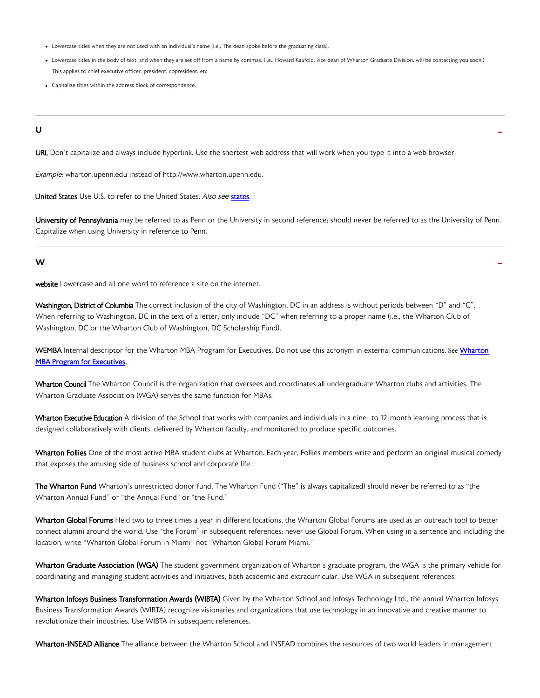- <span id="page-15-0"></span>Lowercase titles when they are not used with an individual's name (i.e., The dean spoke before the graduating class).
- Lowercase titles in the body of text, and when they are set off from a name by commas. (i.e., Howard Kaufold, vice dean of Wharton Graduate Division, will be contacting you soon.) This applies to chief executive officer, president, copresident, etc.

-

-

Capitalize titles within the address block of correspondence.

### U

URL Don't capitalize and always include hyperlink. Use the shortest web address that will work when you type it into a web browser.

Example: wharton.upenn.edu instead of http://www.wharton.upenn.edu.

United States Use U.S. to refer to the United States. Also see [states.](#page-14-0)

University of Pennsylvania may be referred to as Penn or the University in second reference; should never be referred to as the University of Penn. Capitalize when using University in reference to Penn.

#### W

website Lowercase and all one word to reference a site on the internet.

Washington, District of Columbia The correct inclusion of the city of Washington, DC in an address is without periods between "D" and "C". When referring to Washington, DC in the text of a letter, only include "DC" when referring to a proper name (i.e., the Wharton Club of Washington, DC or the Wharton Club of Washington, DC Scholarship Fund).

WEMBA Internal descriptor for the [Wharton](#page-16-0) MBA Program for Executives. Do not use this acronym in external communications. See Wharton [MBA Program for Executives.](#page-16-0)

Wharton Council The Wharton Council is the organization that oversees and coordinates all undergraduate Wharton clubs and activities. The Wharton Graduate Association (WGA) serves the same function for MBAs.

Wharton Executive Education A division of the School that works with companies and individuals in a nine- to 12-month learning process that is designed collaboratively with clients, delivered by Wharton faculty, and monitored to produce specific outcomes.

Wharton Follies One of the most active MBA student clubs at Wharton. Each year, Follies members write and perform an original musical comedy that exposes the amusing side of business school and corporate life.

The Wharton Fund Wharton's unrestricted donor fund. The Wharton Fund ("The" is always capitalized) should never be referred to as "the Wharton Annual Fund" or "the Annual Fund" or "the Fund."

Wharton Global Forums Held two to three times a year in different locations, the Wharton Global Forums are used as an outreach tool to better connect alumni around the world. Use "the Forum" in subsequent references; never use Global Forum. When using in a sentence and including the location, write "Wharton Global Forum in Miami" not "Wharton Global Forum Miami."

Wharton Graduate Association (WGA) The student government organization of Wharton's graduate program, the WGA is the primary vehicle for coordinating and managing student activities and initiatives, both academic and extracurricular. Use WGA in subsequent references.

Wharton Infosys Business Transformation Awards (WIBTA) Given by the Wharton School and Infosys Technology Ltd., the annual Wharton Infosys Business Transformation Awards (WIBTA) recognize visionaries and organizations that use technology in an innovative and creative manner to revolutionize their industries. Use WIBTA in subsequent references.

Wharton-INSEAD Alliance The alliance between the Wharton School and INSEAD combines the resources of two world leaders in management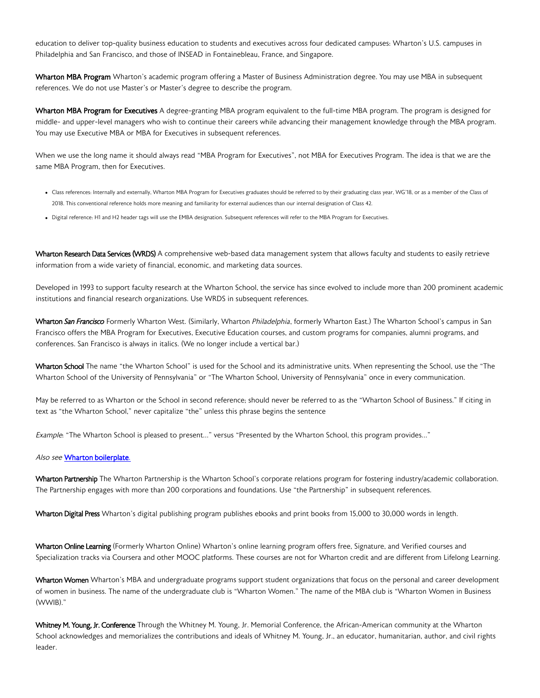<span id="page-16-0"></span>education to deliver top-quality business education to students and executives across four dedicated campuses: Wharton's U.S. campuses in Philadelphia and San Francisco, and those of INSEAD in Fontainebleau, France, and Singapore.

Wharton MBA Program Wharton's academic program offering a Master of Business Administration degree. You may use MBA in subsequent references. We do not use Master's or Master's degree to describe the program.

Wharton MBA Program for Executives A degree-granting MBA program equivalent to the full-time MBA program. The program is designed for middle- and upper-level managers who wish to continue their careers while advancing their management knowledge through the MBA program. You may use Executive MBA or MBA for Executives in subsequent references.

When we use the long name it should always read "MBA Program for Executives", not MBA for Executives Program. The idea is that we are the same MBA Program, then for Executives.

- Class references: Internally and externally, Wharton MBA Program for Executives graduates should be referred to by their graduating class year, WG'18, or as a member of the Class of 2018. This conventional reference holds more meaning and familiarity for external audiences than our internal designation of Class 42.
- Digital reference: H1 and H2 header tags will use the EMBA designation. Subsequent references will refer to the MBA Program for Executives.

Wharton Research Data Services (WRDS) A comprehensive web-based data management system that allows faculty and students to easily retrieve information from a wide variety of financial, economic, and marketing data sources.

Developed in 1993 to support faculty research at the Wharton School, the service has since evolved to include more than 200 prominent academic institutions and financial research organizations. Use WRDS in subsequent references.

Wharton San Francisco Formerly Wharton West. (Similarly, Wharton Philadelphia, formerly Wharton East.) The Wharton School's campus in San Francisco offers the MBA Program for Executives, Executive Education courses, and custom programs for companies, alumni programs, and conferences. San Francisco is always in italics. (We no longer include a vertical bar.)

Wharton School The name "the Wharton School" is used for the School and its administrative units. When representing the School, use the "The Wharton School of the University of Pennsylvania" or "The Wharton School, University of Pennsylvania" once in every communication.

May be referred to as Wharton or the School in second reference; should never be referred to as the "Wharton School of Business." If citing in text as "the Wharton School," never capitalize "the" unless this phrase begins the sentence

Example: "The Wharton School is pleased to present..." versus "Presented by the Wharton School, this program provides..."

### Also see [Wharton boilerplate.](https://app.frontify.com/d/EWFhKbT2J5mB/templates-tools#/templates/about-wharton-text)

Wharton Partnership The Wharton Partnership is the Wharton School's corporate relations program for fostering industry/academic collaboration. The Partnership engages with more than 200 corporations and foundations. Use "the Partnership" in subsequent references.

Wharton Digital Press Wharton's digital publishing program publishes ebooks and print books from 15,000 to 30,000 words in length.

Wharton Online Learning (Formerly Wharton Online) Wharton's online learning program offers free, Signature, and Verified courses and Specialization tracks via Coursera and other MOOC platforms. These courses are not for Wharton credit and are different from Lifelong Learning.

Wharton Women Wharton's MBA and undergraduate programs support student organizations that focus on the personal and career development of women in business. The name of the undergraduate club is "Wharton Women." The name of the MBA club is "Wharton Women in Business (WWIB)."

Whitney M. Young, Jr. Conference Through the Whitney M. Young, Jr. Memorial Conference, the African-American community at the Wharton School acknowledges and memorializes the contributions and ideals of Whitney M. Young, Jr., an educator, humanitarian, author, and civil rights leader.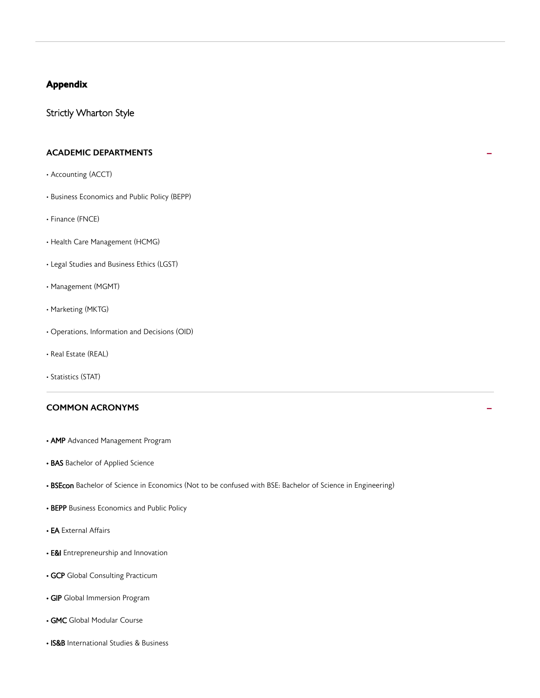### <span id="page-17-0"></span>Appendix

### Strictly Wharton Style

# ACADEMIC DEPARTMENTS **-**

- Accounting (ACCT)
- Business Economics and Public Policy (BEPP)
- Finance (FNCE)
- Health Care Management (HCMG)
- Legal Studies and Business Ethics (LGST)
- Management (MGMT)
- Marketing (MKTG)
- Operations, Information and Decisions (OID)
- Real Estate (REAL)
- Statistics (STAT)

# COMMON ACRONYMS **-**

- AMP Advanced Management Program
- BAS Bachelor of Applied Science
- BSEcon Bachelor of Science in Economics (Not to be confused with BSE: Bachelor of Science in Engineering)
- BEPP Business Economics and Public Policy
- EA External Affairs
- **E&I** Entrepreneurship and Innovation
- GCP Global Consulting Practicum
- GIP Global Immersion Program
- GMC Global Modular Course
- IS&B International Studies & Business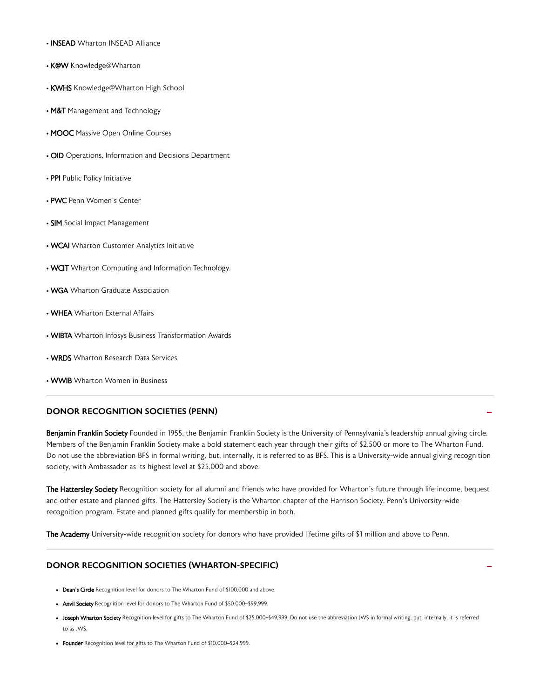- INSEAD Wharton INSEAD Alliance
- K@W Knowledge@Wharton
- KWHS Knowledge@Wharton High School
- M&T Management and Technology
- MOOC Massive Open Online Courses
- OID Operations, Information and Decisions Department
- PPI Public Policy Initiative
- PWC Penn Women's Center
- SIM Social Impact Management
- WCAI Wharton Customer Analytics Initiative
- WCIT Wharton Computing and Information Technology.
- WGA Wharton Graduate Association
- WHEA Wharton External Affairs
- WIBTA Wharton Infosys Business Transformation Awards
- WRDS Wharton Research Data Services
- WWIB Wharton Women in Business

### DONOR RECOGNITION SOCIETIES (PENN)

Benjamin Franklin Society Founded in 1955, the Benjamin Franklin Society is the University of Pennsylvania's leadership annual giving circle. Members of the Benjamin Franklin Society make a bold statement each year through their gifts of \$2,500 or more to The Wharton Fund. Do not use the abbreviation BFS in formal writing, but, internally, it is referred to as BFS. This is a University-wide annual giving recognition society, with Ambassador as its highest level at \$25,000 and above.

The Hattersley Society Recognition society for all alumni and friends who have provided for Wharton's future through life income, bequest and other estate and planned gifts. The Hattersley Society is the Wharton chapter of the Harrison Society, Penn's University-wide recognition program. Estate and planned gifts qualify for membership in both.

The Academy University-wide recognition society for donors who have provided lifetime gifts of \$1 million and above to Penn.

### DONOR RECOGNITION SOCIETIES (WHARTON-SPECIFIC)

- Dean's Circle Recognition level for donors to The Wharton Fund of \$100,000 and above.
- Anvil Society Recognition level for donors to The Wharton Fund of \$50,000-\$99,999.
- Joseph Wharton Society Recognition level for gifts to The Wharton Fund of \$25,000-\$49,999. Do not use the abbreviation JWS in formal writing, but, internally, it is referred to as JWS.
- Founder Recognition level for gifts to The Wharton Fund of \$10,000-\$24,999.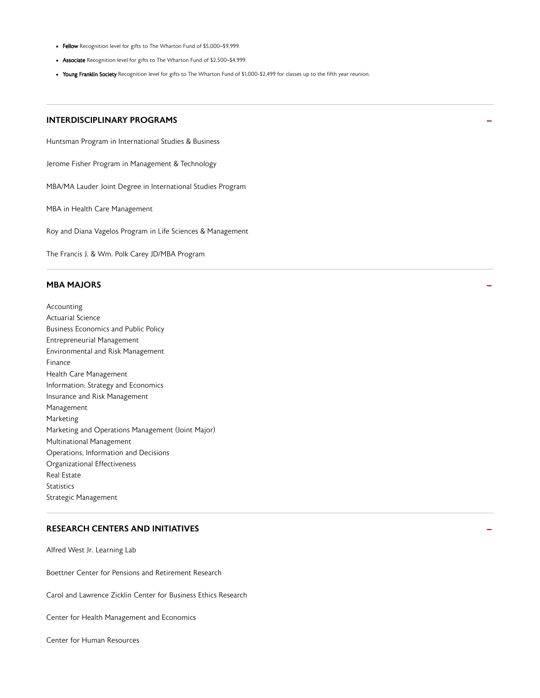- <span id="page-19-0"></span>• Fellow Recognition level for gifts to The Wharton Fund of \$5,000-\$9,999.
- Associate Recognition level for gifts to The Wharton Fund of \$2,500-\$4,999.
- Young Franklin Society Recognition level for gifts to The Wharton Fund of \$1,000-\$2,499 for classes up to the fifth year reunion.

### **INTERDISCIPLINARY PROGRAMS**

Huntsman Program in International Studies & Business

Jerome Fisher Program in Management & Technology

MBA/MA Lauder Joint Degree in International Studies Program

MBA in Health Care Management

Roy and Diana Vagelos Program in Life Sciences & Management

The Francis J. & Wm. Polk Carey JD/MBA Program

# $\blacksquare$ MBA MAJORS  $\blacksquare$

Accounting Actuarial Science Business Economics and Public Policy Entrepreneurial Management Environmental and Risk Management Finance Health Care Management Information: Strategy and Economics Insurance and Risk Management Management Marketing Marketing and Operations Management (Joint Major) Multinational Management Operations, Information and Decisions Organizational Effectiveness Real Estate **Statistics** Strategic Management

### **RESEARCH CENTERS AND INITIATIVES**

Alfred West Jr. Learning Lab

Boettner Center for Pensions and Retirement Research

Carol and Lawrence Zicklin Center for Business Ethics Research

Center for Health Management and Economics

Center for Human Resources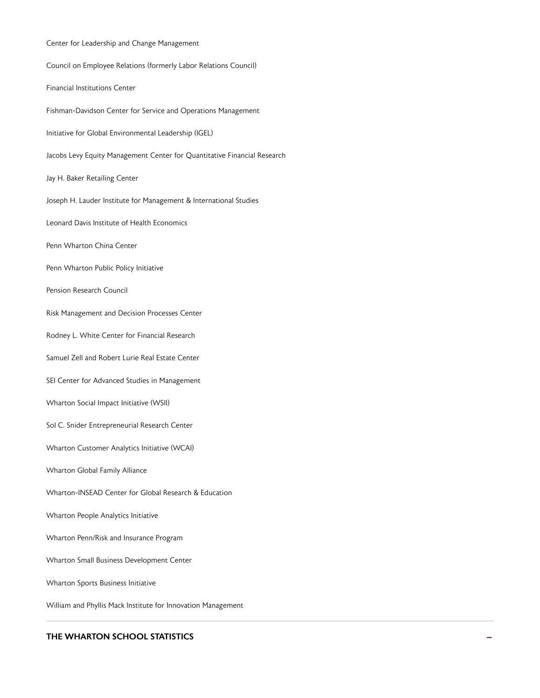| Center for Leadership and Change Management                              |
|--------------------------------------------------------------------------|
| Council on Employee Relations (formerly Labor Relations Council)         |
| <b>Financial Institutions Center</b>                                     |
| Fishman-Davidson Center for Service and Operations Management            |
| Initiative for Global Environmental Leadership (IGEL)                    |
| Jacobs Levy Equity Management Center for Quantitative Financial Research |
| Jay H. Baker Retailing Center                                            |
| Joseph H. Lauder Institute for Management & International Studies        |
| Leonard Davis Institute of Health Economics                              |
| Penn Wharton China Center                                                |
| Penn Wharton Public Policy Initiative                                    |
| Pension Research Council                                                 |
| Risk Management and Decision Processes Center                            |
| Rodney L. White Center for Financial Research                            |
| Samuel Zell and Robert Lurie Real Estate Center                          |
| SEI Center for Advanced Studies in Management                            |
| Wharton Social Impact Initiative (WSII)                                  |
| Sol C. Snider Entrepreneurial Research Center                            |
| Wharton Customer Analytics Initiative (WCAI)                             |
| Wharton Global Family Alliance                                           |
| Wharton-INSEAD Center for Global Research & Education                    |
| Wharton People Analytics Initiative                                      |
| Wharton Penn/Risk and Insurance Program                                  |
| Wharton Small Business Development Center                                |
| Wharton Sports Business Initiative                                       |
| William and Phyllis Mack Institute for Innovation Management             |

### THE WHARTON SCHOOL STATISTICS **SUMPLE THE WHARTON SCHOOL STATISTICS**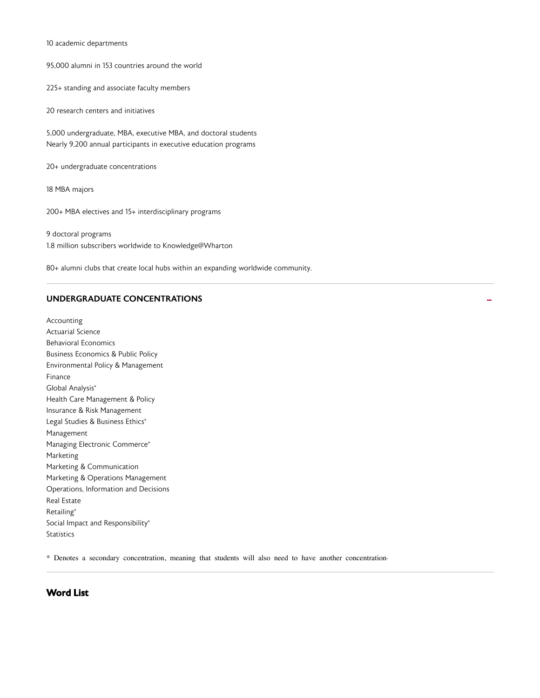#### <span id="page-21-0"></span>10 academic departments

95,000 alumni in 153 countries around the world

225+ standing and associate faculty members

20 research centers and initiatives

5,000 undergraduate, MBA, executive MBA, and doctoral students Nearly 9,200 annual participants in executive education programs

20+ undergraduate concentrations

18 MBA majors

200+ MBA electives and 15+ interdisciplinary programs

9 doctoral programs 1.8 million subscribers worldwide to Knowledge@Wharton

80+ alumni clubs that create local hubs within an expanding worldwide community.

### UNDERGRADUATE CONCENTRATIONS

Accounting Actuarial Science Behavioral Economics Business Economics & Public Policy Environmental Policy & Management Finance Global Analysis\* Health Care Management & Policy Insurance & Risk Management Legal Studies & Business Ethics\* Management Managing Electronic Commerce\* Marketing Marketing & Communication Marketing & Operations Management Operations, Information and Decisions Real Estate Retailing\* Social Impact and Responsibility\* **Statistics** 

\* Denotes a secondary concentration, meaning that students will also need to have another concentration.

### Word List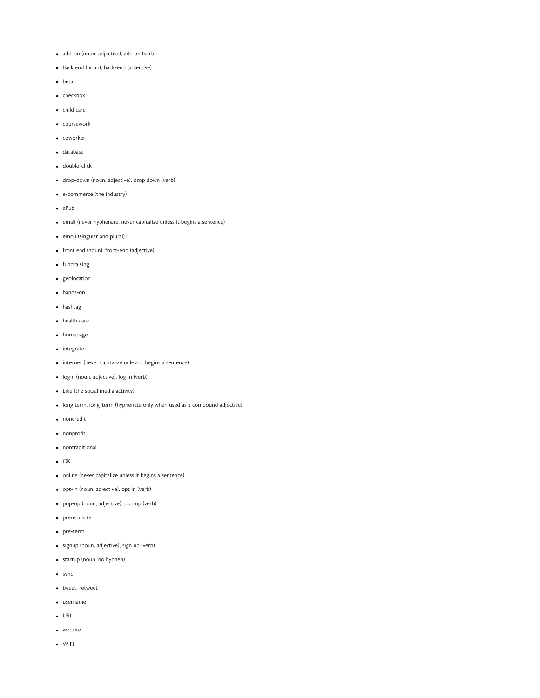- add-on (noun, adjective), add on (verb)
- back end (noun), back-end (adjective)
- beta
- checkbox
- child care
- coursework
- coworker
- database
- double-click
- drop-down (noun, adjective), drop down (verb)
- e-commerce (the industry)
- $e$  ePub
- email (never hyphenate, never capitalize unless it begins a sentence)
- emoji (singular and plural)
- front end (noun), front-end (adjective)
- fundraising
- geolocation
- hands-on
- hashtag
- health care
- homepage
- integrate
- internet (never capitalize unless it begins a sentence)
- login (noun, adjective), log in (verb)
- Like (the social media activity)
- long term, long-term (hyphenate only when used as a compound adjective)
- noncredit
- nonprofit
- nontraditional
- $\bullet$  OK
- online (never capitalize unless it begins a sentence)
- opt-in (noun, adjective), opt in (verb)
- pop-up (noun, adjective), pop up (verb)
- prerequisite
- pre-term
- signup (noun, adjective), sign up (verb)
- startup (noun, no hyphen)
- sync
- tweet, retweet
- username
- URL
- website
- WiFi